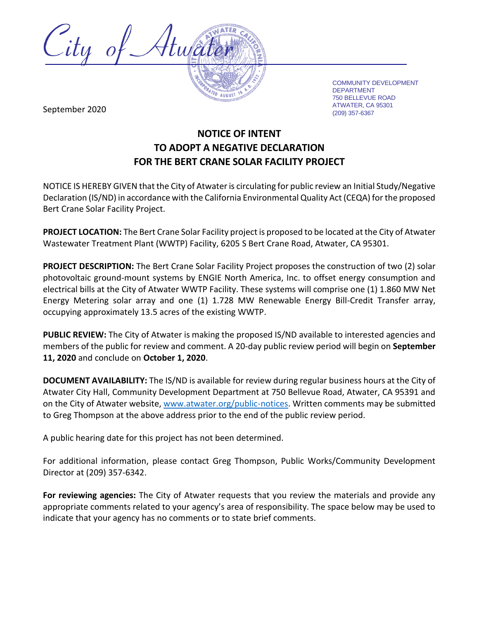

COMMUNITY DEVELOPMENT DEPARTMENT 750 BELLEVUE ROAD ATWATER, CA 95301

September 2020 and the separative of the separative of the separative of the separative of the separative of  $(209)$  357-6367

## **NOTICE OF INTENT TO ADOPT A NEGATIVE DECLARATION FOR THE BERT CRANE SOLAR FACILITY PROJECT**

NOTICE IS HEREBY GIVEN that the City of Atwater is circulating for public review an Initial Study/Negative Declaration (IS/ND) in accordance with the California Environmental Quality Act (CEQA) for the proposed Bert Crane Solar Facility Project.

**PROJECT LOCATION:** The Bert Crane Solar Facility project is proposed to be located at the City of Atwater Wastewater Treatment Plant (WWTP) Facility, 6205 S Bert Crane Road, Atwater, CA 95301.

**PROJECT DESCRIPTION:** The Bert Crane Solar Facility Project proposes the construction of two (2) solar photovoltaic ground-mount systems by ENGIE North America, Inc. to offset energy consumption and electrical bills at the City of Atwater WWTP Facility. These systems will comprise one (1) 1.860 MW Net Energy Metering solar array and one (1) 1.728 MW Renewable Energy Bill-Credit Transfer array, occupying approximately 13.5 acres of the existing WWTP.

**PUBLIC REVIEW:** The City of Atwater is making the proposed IS/ND available to interested agencies and members of the public for review and comment. A 20-day public review period will begin on **September 11, 2020** and conclude on **October 1, 2020**.

**DOCUMENT AVAILABILITY:** The IS/ND is available for review during regular business hours at the City of Atwater City Hall, Community Development Department at 750 Bellevue Road, Atwater, CA 95391 and on the City of Atwater website, [www.atwater.org/public-notices.](http://www.atwater.org/public-notices) Written comments may be submitted to Greg Thompson at the above address prior to the end of the public review period.

A public hearing date for this project has not been determined.

For additional information, please contact Greg Thompson, Public Works/Community Development Director at (209) 357-6342.

**For reviewing agencies:** The City of Atwater requests that you review the materials and provide any appropriate comments related to your agency's area of responsibility. The space below may be used to indicate that your agency has no comments or to state brief comments.